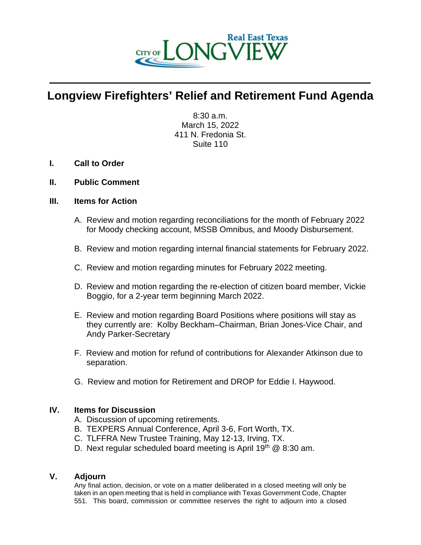

## **Longview Firefighters' Relief and Retirement Fund Agenda**

 $\mathcal{L} = \{ \mathcal{L} \mid \mathcal{L} \in \mathcal{L} \}$ 

8:30 a.m. March 15, 2022 411 N. Fredonia St. Suite 110

- **I. Call to Order**
- **II. Public Comment**

## **III. Items for Action**

- A. Review and motion regarding reconciliations for the month of February 2022 for Moody checking account, MSSB Omnibus, and Moody Disbursement.
- B. Review and motion regarding internal financial statements for February 2022.
- C. Review and motion regarding minutes for February 2022 meeting.
- D. Review and motion regarding the re-election of citizen board member, Vickie Boggio, for a 2-year term beginning March 2022.
- E. Review and motion regarding Board Positions where positions will stay as they currently are: Kolby Beckham–Chairman, Brian Jones-Vice Chair, and Andy Parker-Secretary
- F. Review and motion for refund of contributions for Alexander Atkinson due to separation.
- G. Review and motion for Retirement and DROP for Eddie I. Haywood.

## **IV. Items for Discussion**

- A. Discussion of upcoming retirements.
- B. TEXPERS Annual Conference, April 3-6, Fort Worth, TX.
- C. TLFFRA New Trustee Training, May 12-13, Irving, TX.
- D. Next regular scheduled board meeting is April 19<sup>th</sup>  $@$  8:30 am.

## **V. Adjourn**

Any final action, decision, or vote on a matter deliberated in a closed meeting will only be taken in an open meeting that is held in compliance with Texas Government Code, Chapter 551. This board, commission or committee reserves the right to adjourn into a closed